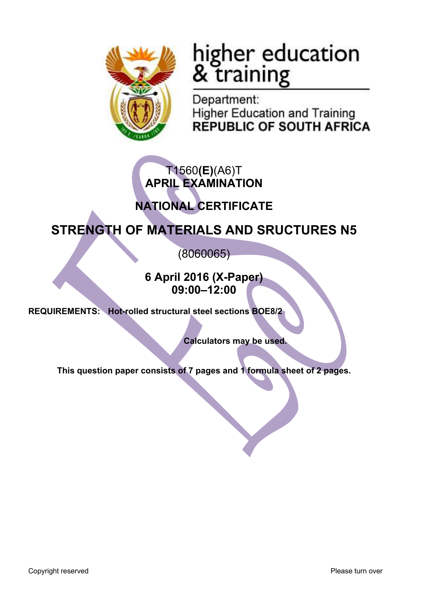

# higher education<br>& training

Department: **Higher Education and Training REPUBLIC OF SOUTH AFRICA** 

# T1560**(E)**(A6)T **APRIL EXAMINATION**

# **NATIONAL CERTIFICATE**

# **STRENGTH OF MATERIALS AND SRUCTURES N5**

(8060065)

**6 April 2016 (X-Paper) 09:00–12:00**

**REQUIREMENTS: Hot-rolled structural steel sections BOE8/2**

**Calculators may be used.**

**This question paper consists of 7 pages and 1 formula sheet of 2 pages.**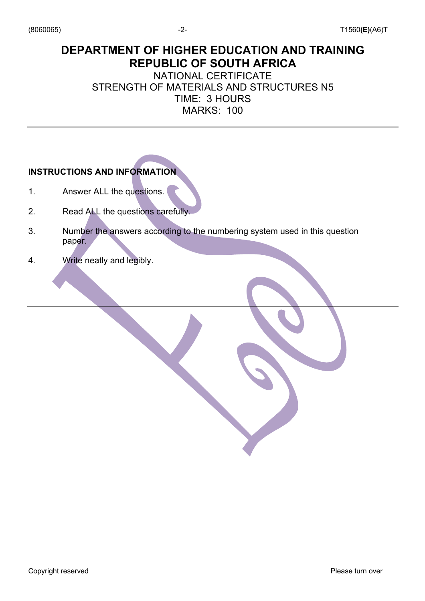## **DEPARTMENT OF HIGHER EDUCATION AND TRAINING REPUBLIC OF SOUTH AFRICA**

NATIONAL CERTIFICATE STRENGTH OF MATERIALS AND STRUCTURES N5 TIME: 3 HOURS MARKS: 100

## **INSTRUCTIONS AND INFORMATION**

- 1. Answer ALL the questions.
- 2. Read ALL the questions carefully.
- 3. Number the answers according to the numbering system used in this question paper.
- 4. Write neatly and legibly.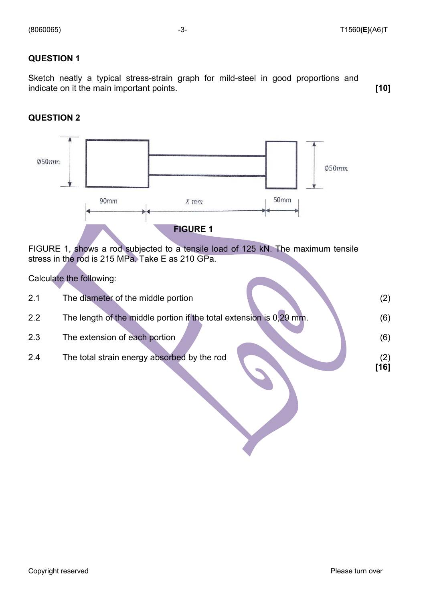Sketch neatly a typical stress-strain graph for mild-steel in good proportions and indicate on it the main important points. **[10]**

#### **QUESTION 2**



FIGURE 1, shows a rod subjected to a tensile load of 125 kN. The maximum tensile stress in the rod is 215 MPa. Take E as 210 GPa.

Calculate the following:

| 2.1 | The diameter of the middle portion                                  | (2)           |
|-----|---------------------------------------------------------------------|---------------|
| 2.2 | The length of the middle portion if the total extension is 0,29 mm. | (6)           |
| 2.3 | The extension of each portion                                       | (6)           |
| 2.4 | The total strain energy absorbed by the rod                         | (2)<br>$[16]$ |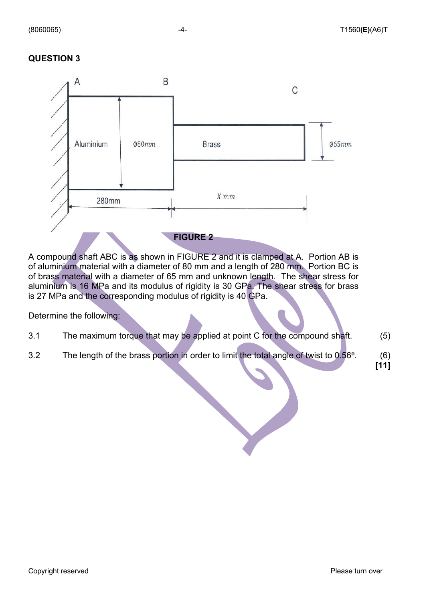

A compound shaft ABC is as shown in FIGURE 2 and it is clamped at A. Portion AB is of aluminium material with a diameter of 80 mm and a length of 280 mm. Portion BC is of brass material with a diameter of 65 mm and unknown length. The shear stress for aluminium is 16 MPa and its modulus of rigidity is 30 GPa. The shear stress for brass is 27 MPa and the corresponding modulus of rigidity is 40 GPa.

Determine the following:

- 3.1 The maximum torque that may be applied at point C for the compound shaft. (5)
- 3.2 The length of the brass portion in order to limit the total angle of twist to 0.56°. (6)

**[11]**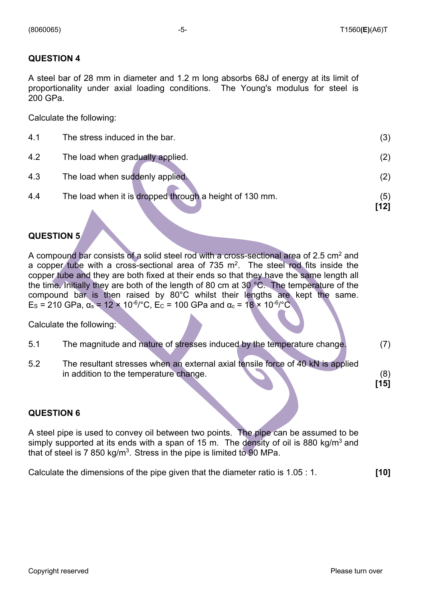A steel bar of 28 mm in diameter and 1.2 m long absorbs 68J of energy at its limit of proportionality under axial loading conditions. The Young's modulus for steel is 200 GPa.

Calculate the following:

| 4.1 | The stress induced in the bar.                          | (3)         |
|-----|---------------------------------------------------------|-------------|
| 4.2 | The load when gradually applied.                        | (2)         |
| 4.3 | The load when suddenly applied.                         | (2)         |
| 4.4 | The load when it is dropped through a height of 130 mm. | (5)<br>[12] |
|     |                                                         |             |

#### **QUESTION 5**

A compound bar consists of a solid steel rod with a cross-sectional area of 2.5 cm<sup>2</sup> and a copper tube with a cross-sectional area of  $735 \text{ m}^2$ . The steel rod fits inside the copper tube and they are both fixed at their ends so that they have the same length all the time. Initially they are both of the length of 80 cm at 30 °C. The temperature of the compound bar is then raised by 80°C whilst their lengths are kept the same.  $E_S$  = 210 GPa,  $\alpha_s$  = 12 × 10<sup>-6</sup>/°C,  $E_C$  = 100 GPa and  $\alpha_c$  = 18 × 10<sup>-6</sup>/°C.

Calculate the following:

- 5.1 The magnitude and nature of stresses induced by the temperature change. (7)
- 5.2 The resultant stresses when an external axial tensile force of 40 kN is applied in addition to the temperature change. (8)

#### **QUESTION 6**

A steel pipe is used to convey oil between two points. The pipe can be assumed to be simply supported at its ends with a span of 15 m. The density of oil is 880 kg/m<sup>3</sup> and that of steel is  $7850 \text{ kg/m}^3$ . Stress in the pipe is limited to 90 MPa.

Calculate the dimensions of the pipe given that the diameter ratio is 1.05 : 1. **[10]**

**[15]**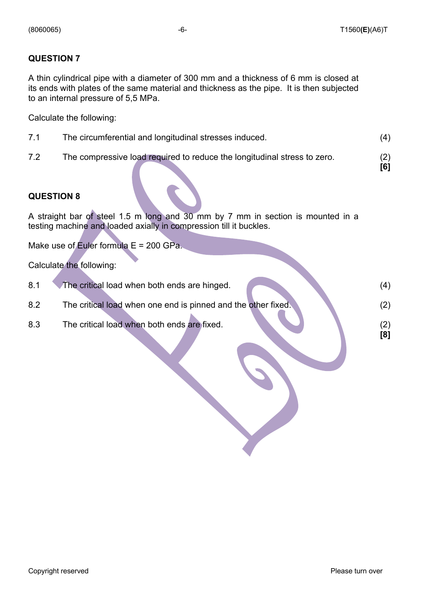A thin cylindrical pipe with a diameter of 300 mm and a thickness of 6 mm is closed at its ends with plates of the same material and thickness as the pipe. It is then subjected to an internal pressure of 5,5 MPa.

Calculate the following:

- 7.1 The circumferential and longitudinal stresses induced. (4)
- 7.2 The compressive load required to reduce the longitudinal stress to zero. (2)

 **[6]**

#### **QUESTION 8**

A straight bar of steel 1.5 m long and 30 mm by 7 mm in section is mounted in a testing machine and loaded axially in compression till it buckles.

Make use of Euler formula  $E = 200$  GPa.

Calculate the following:

| 8.1 | The critical load when both ends are hinged.                  | (4) |
|-----|---------------------------------------------------------------|-----|
| 8.2 | The critical load when one end is pinned and the other fixed. | 2)  |
| 8.3 | The critical load when both ends are fixed.                   | [8] |
|     |                                                               |     |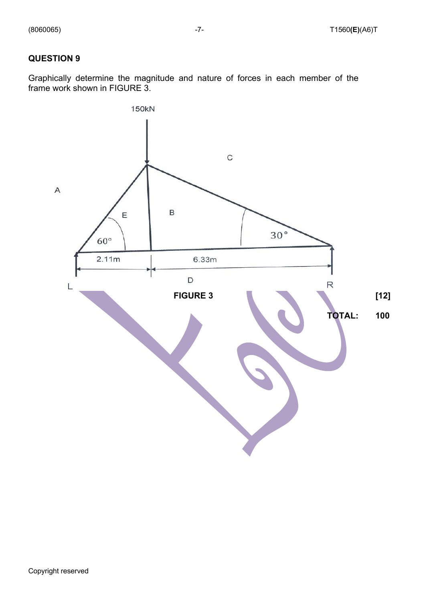Graphically determine the magnitude and nature of forces in each member of the frame work shown in FIGURE 3.

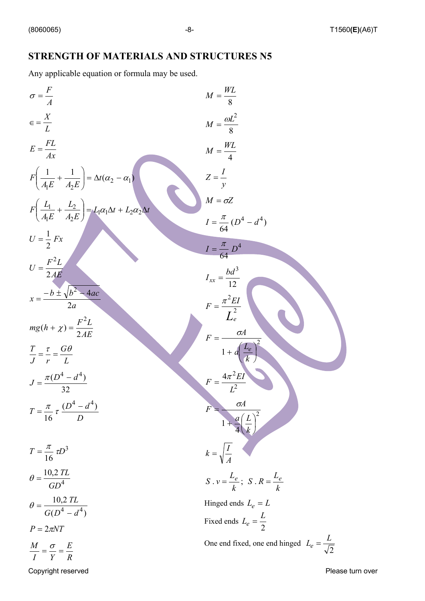### **STRENGTH OF MATERIALS AND STRUCTURES N5**

Any applicable equation or formula may be used.

$$
\sigma = \frac{F}{A}
$$
\n
$$
M = \frac{WL}{8}
$$
\n
$$
E = \frac{2L}{Ax}
$$
\n
$$
F\left(\frac{L}{A_E} + \frac{L}{A_2E}\right) = \lambda t (\alpha_2 - \alpha_1)
$$
\n
$$
F\left(\frac{L_1}{A_E} + \frac{L_2}{A_2E}\right) = L_1 \alpha_1 \Delta t + L_2 \alpha_2 \Delta t
$$
\n
$$
U = \frac{1}{2} Fx
$$
\n
$$
U = \frac{1}{2} Fx
$$
\n
$$
U = \frac{2}{2} \frac{2}{2} Fx
$$
\n
$$
V = \frac{F^2 L}{24E}
$$
\n
$$
V = \frac{-b \pm \sqrt{b^2 - 4ac}}{2a}
$$
\n
$$
T = \frac{\pi}{16} \frac{D^4}{2a}
$$
\n
$$
T = \frac{\pi}{16} \frac{D^4 - d^4}{2a}
$$
\n
$$
T = \frac{\pi}{16} \frac{D^3}{2a}
$$
\n
$$
T = \frac{\pi}{16} \frac{D^3}{2a}
$$
\n
$$
T = \frac{\pi}{16} \frac{D^3}{2a}
$$
\n
$$
\sigma = \frac{10,2 \text{ } TL}{G D^4}
$$
\n
$$
\sigma = \frac{10,2 \text{ } TL}{G D^4}
$$
\n
$$
T = \frac{V}{V} = \frac{1}{R}
$$
\n
$$
T = \frac{V}{V} = \frac{1}{R}
$$
\n
$$
T = \frac{V}{V} = \frac{1}{R}
$$
\n
$$
T = \frac{V}{V} = \frac{1}{R}
$$
\n
$$
T = \frac{V}{V} = \frac{1}{R}
$$
\n
$$
T = \frac{V}{V} = \frac{1}{R}
$$
\n
$$
T = \frac{V}{V} = \frac{1}{R}
$$
\n
$$
V = \frac{1}{V} \frac{V}{A}
$$
\n
$$
V = \frac{1}{V} \frac{V}{A}
$$
\n
$$
V = \frac{1}{V} \frac{V}{A}
$$
\n
$$
V = \frac{1}{V
$$

Copyright reserved **Please** turn over